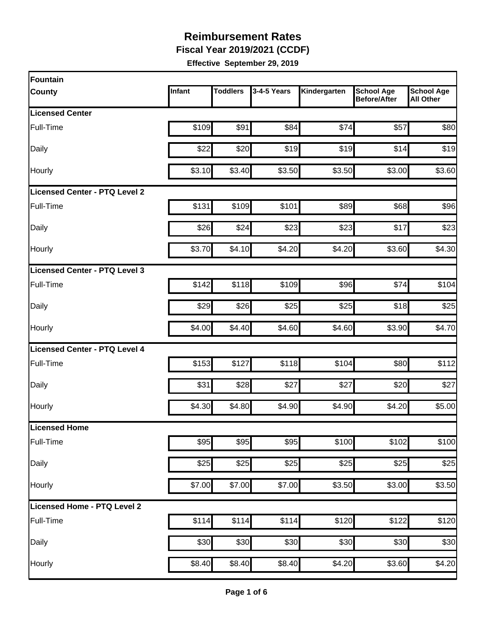**Fiscal Year 2019/2021 (CCDF)**

| Fountain                      |        |                 |             |              |                                          |                                       |
|-------------------------------|--------|-----------------|-------------|--------------|------------------------------------------|---------------------------------------|
| <b>County</b>                 | Infant | <b>Toddlers</b> | 3-4-5 Years | Kindergarten | <b>School Age</b><br><b>Before/After</b> | <b>School Age</b><br><b>All Other</b> |
| <b>Licensed Center</b>        |        |                 |             |              |                                          |                                       |
| Full-Time                     | \$109  | \$91            | \$84        | \$74         | \$57                                     | \$80                                  |
| Daily                         | \$22   | \$20            | \$19        | \$19         | \$14                                     | \$19                                  |
| Hourly                        | \$3.10 | \$3.40          | \$3.50      | \$3.50       | \$3.00                                   | \$3.60                                |
| Licensed Center - PTQ Level 2 |        |                 |             |              |                                          |                                       |
| Full-Time                     | \$131  | \$109           | \$101       | \$89         | \$68                                     | \$96                                  |
| Daily                         | \$26   | \$24            | \$23        | \$23         | \$17                                     | \$23                                  |
| Hourly                        | \$3.70 | \$4.10          | \$4.20      | \$4.20       | \$3.60                                   | \$4.30                                |
| Licensed Center - PTQ Level 3 |        |                 |             |              |                                          |                                       |
| Full-Time                     | \$142  | \$118           | \$109       | \$96         | \$74                                     | \$104                                 |
| Daily                         | \$29   | \$26            | \$25        | \$25         | \$18                                     | \$25                                  |
| Hourly                        | \$4.00 | \$4.40          | \$4.60      | \$4.60       | \$3.90                                   | \$4.70                                |
| Licensed Center - PTQ Level 4 |        |                 |             |              |                                          |                                       |
| Full-Time                     | \$153  | \$127           | \$118       | \$104        | \$80                                     | \$112                                 |
| Daily                         | \$31   | \$28            | \$27        | \$27         | \$20                                     | \$27                                  |
| Hourly                        | \$4.30 | \$4.80          | \$4.90      | \$4.90       | \$4.20                                   | \$5.00                                |
| Licensed Home                 |        |                 |             |              |                                          |                                       |
| Full-Time                     | \$95   | \$95            | \$95        | \$100        | \$102                                    | \$100                                 |
| Daily                         | \$25   | \$25            | \$25        | \$25         | \$25                                     | \$25                                  |
| Hourly                        | \$7.00 | \$7.00          | \$7.00      | \$3.50       | \$3.00                                   | \$3.50                                |
| Licensed Home - PTQ Level 2   |        |                 |             |              |                                          |                                       |
| Full-Time                     | \$114  | \$114           | \$114       | \$120        | \$122                                    | \$120                                 |
| Daily                         | \$30   | \$30            | \$30        | \$30         | \$30                                     | \$30                                  |
| Hourly                        | \$8.40 | \$8.40          | \$8.40      | \$4.20       | \$3.60                                   | \$4.20                                |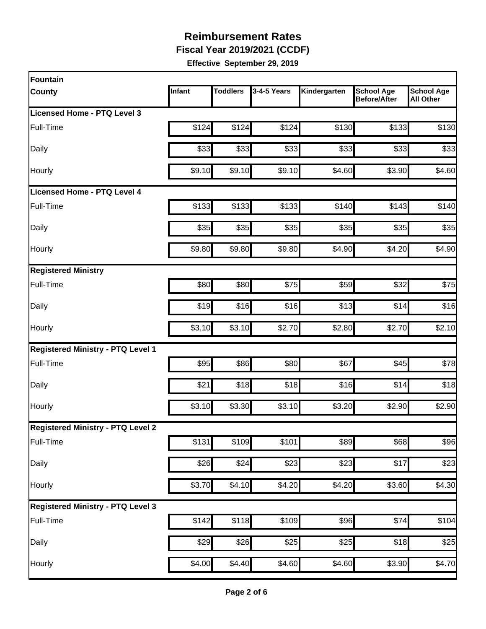**Fiscal Year 2019/2021 (CCDF)**

| Fountain                                 |        |                 |             |              |                                          |                                       |
|------------------------------------------|--------|-----------------|-------------|--------------|------------------------------------------|---------------------------------------|
| <b>County</b>                            | Infant | <b>Toddlers</b> | 3-4-5 Years | Kindergarten | <b>School Age</b><br><b>Before/After</b> | <b>School Age</b><br><b>All Other</b> |
| Licensed Home - PTQ Level 3              |        |                 |             |              |                                          |                                       |
| Full-Time                                | \$124  | \$124           | \$124       | \$130        | \$133                                    | \$130                                 |
| Daily                                    | \$33   | \$33            | \$33        | \$33         | \$33                                     | \$33                                  |
| Hourly                                   | \$9.10 | \$9.10          | \$9.10      | \$4.60       | \$3.90                                   | \$4.60                                |
| <b>Licensed Home - PTQ Level 4</b>       |        |                 |             |              |                                          |                                       |
| Full-Time                                | \$133  | \$133           | \$133       | \$140        | \$143                                    | \$140                                 |
| Daily                                    | \$35   | \$35            | \$35        | \$35         | \$35                                     | \$35                                  |
| Hourly                                   | \$9.80 | \$9.80          | \$9.80      | \$4.90       | \$4.20                                   | \$4.90                                |
| <b>Registered Ministry</b>               |        |                 |             |              |                                          |                                       |
| Full-Time                                | \$80   | \$80            | \$75        | \$59         | \$32                                     | \$75                                  |
| Daily                                    | \$19   | \$16            | \$16        | \$13         | \$14                                     | \$16                                  |
| Hourly                                   | \$3.10 | \$3.10          | \$2.70      | \$2.80       | \$2.70                                   | \$2.10                                |
| <b>Registered Ministry - PTQ Level 1</b> |        |                 |             |              |                                          |                                       |
| Full-Time                                | \$95   | \$86            | \$80        | \$67         | \$45                                     | \$78                                  |
| Daily                                    | \$21   | \$18            | \$18        | \$16         | \$14                                     | \$18                                  |
| Hourly                                   | \$3.10 | \$3.30          | \$3.10      | \$3.20       | \$2.90                                   | \$2.90                                |
| <b>Registered Ministry - PTQ Level 2</b> |        |                 |             |              |                                          |                                       |
| Full-Time                                | \$131  | \$109           | \$101       | \$89         | \$68                                     | \$96                                  |
| Daily                                    | \$26   | \$24            | \$23        | \$23         | \$17                                     | \$23                                  |
| Hourly                                   | \$3.70 | \$4.10          | \$4.20      | \$4.20       | \$3.60                                   | \$4.30                                |
| <b>Registered Ministry - PTQ Level 3</b> |        |                 |             |              |                                          |                                       |
| Full-Time                                | \$142  | \$118           | \$109       | \$96         | \$74                                     | \$104                                 |
| Daily                                    | \$29   | \$26            | \$25        | \$25         | \$18                                     | \$25                                  |
| Hourly                                   | \$4.00 | \$4.40          | \$4.60      | \$4.60       | \$3.90                                   | \$4.70                                |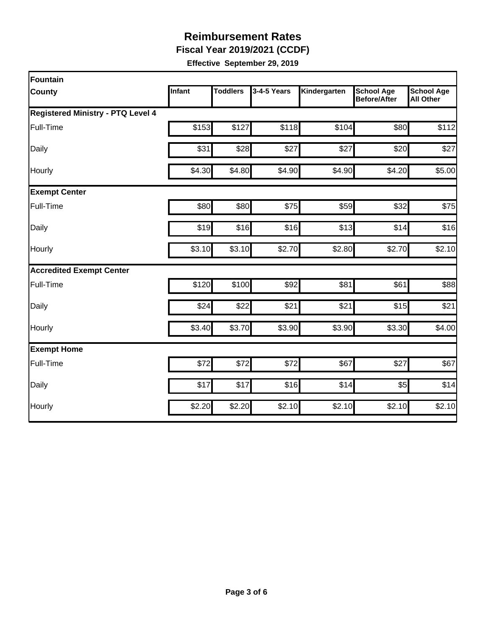**Fiscal Year 2019/2021 (CCDF)**

| Fountain                                 |        |                 |             |              |                                          |                                       |
|------------------------------------------|--------|-----------------|-------------|--------------|------------------------------------------|---------------------------------------|
| <b>County</b>                            | Infant | <b>Toddlers</b> | 3-4-5 Years | Kindergarten | <b>School Age</b><br><b>Before/After</b> | <b>School Age</b><br><b>All Other</b> |
| <b>Registered Ministry - PTQ Level 4</b> |        |                 |             |              |                                          |                                       |
| Full-Time                                | \$153  | \$127           | \$118       | \$104        | \$80                                     | \$112                                 |
| Daily                                    | \$31   | \$28            | \$27        | \$27         | \$20                                     | \$27                                  |
| Hourly                                   | \$4.30 | \$4.80          | \$4.90      | \$4.90       | \$4.20                                   | \$5.00                                |
| <b>Exempt Center</b>                     |        |                 |             |              |                                          |                                       |
| Full-Time                                | \$80   | \$80            | \$75        | \$59         | \$32                                     | \$75                                  |
| Daily                                    | \$19   | \$16            | \$16        | \$13         | \$14                                     | \$16                                  |
| Hourly                                   | \$3.10 | \$3.10          | \$2.70      | \$2.80       | \$2.70                                   | \$2.10                                |
| <b>Accredited Exempt Center</b>          |        |                 |             |              |                                          |                                       |
| Full-Time                                | \$120  | \$100           | \$92        | \$81         | \$61                                     | \$88                                  |
| Daily                                    | \$24   | \$22            | \$21        | \$21         | \$15                                     | \$21                                  |
| Hourly                                   | \$3.40 | \$3.70          | \$3.90      | \$3.90       | \$3.30                                   | \$4.00                                |
| <b>Exempt Home</b>                       |        |                 |             |              |                                          |                                       |
| Full-Time                                | \$72   | \$72            | \$72        | \$67         | \$27                                     | \$67                                  |
| Daily                                    | \$17   | \$17            | \$16        | \$14         | \$5                                      | \$14                                  |
| Hourly                                   | \$2.20 | \$2.20          | \$2.10      | \$2.10       | \$2.10                                   | \$2.10                                |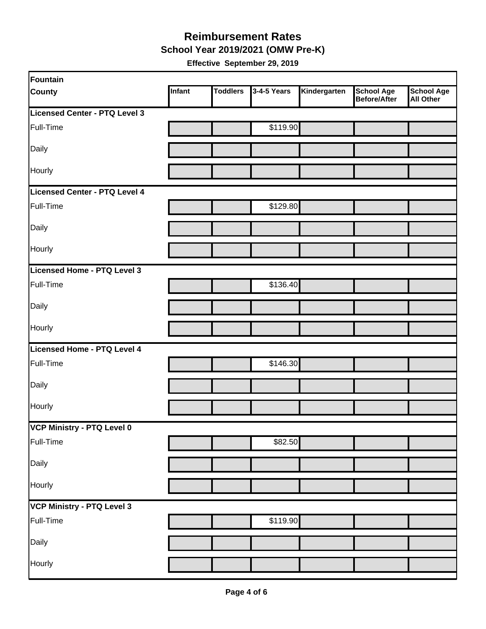#### **School Year 2019/2021 (OMW Pre-K) Reimbursement Rates**

| Fountain                      |        |                 |             |              |                                   |                                       |
|-------------------------------|--------|-----------------|-------------|--------------|-----------------------------------|---------------------------------------|
| <b>County</b>                 | Infant | <b>Toddlers</b> | 3-4-5 Years | Kindergarten | <b>School Age</b><br>Before/After | <b>School Age</b><br><b>All Other</b> |
| Licensed Center - PTQ Level 3 |        |                 |             |              |                                   |                                       |
| Full-Time                     |        |                 | \$119.90    |              |                                   |                                       |
| Daily                         |        |                 |             |              |                                   |                                       |
| Hourly                        |        |                 |             |              |                                   |                                       |
| Licensed Center - PTQ Level 4 |        |                 |             |              |                                   |                                       |
| Full-Time                     |        |                 | \$129.80    |              |                                   |                                       |
| Daily                         |        |                 |             |              |                                   |                                       |
| Hourly                        |        |                 |             |              |                                   |                                       |
| Licensed Home - PTQ Level 3   |        |                 |             |              |                                   |                                       |
| Full-Time                     |        |                 | \$136.40    |              |                                   |                                       |
| Daily                         |        |                 |             |              |                                   |                                       |
| Hourly                        |        |                 |             |              |                                   |                                       |
| Licensed Home - PTQ Level 4   |        |                 |             |              |                                   |                                       |
| Full-Time                     |        |                 | \$146.30    |              |                                   |                                       |
| Daily                         |        |                 |             |              |                                   |                                       |
| Hourly                        |        |                 |             |              |                                   |                                       |
| VCP Ministry - PTQ Level 0    |        |                 |             |              |                                   |                                       |
| Full-Time                     |        |                 | \$82.50     |              |                                   |                                       |
| Daily                         |        |                 |             |              |                                   |                                       |
| Hourly                        |        |                 |             |              |                                   |                                       |
| VCP Ministry - PTQ Level 3    |        |                 |             |              |                                   |                                       |
| Full-Time                     |        |                 | \$119.90    |              |                                   |                                       |
| Daily                         |        |                 |             |              |                                   |                                       |
| Hourly                        |        |                 |             |              |                                   |                                       |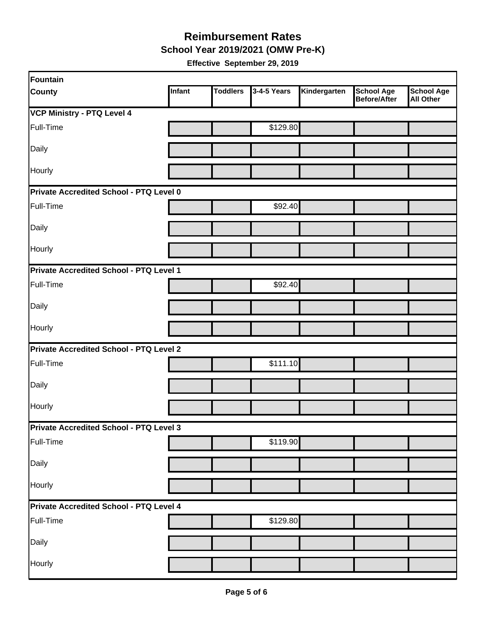**School Year 2019/2021 (OMW Pre-K)**

| Fountain                                       |        |                 |             |              |                                   |                                       |  |  |
|------------------------------------------------|--------|-----------------|-------------|--------------|-----------------------------------|---------------------------------------|--|--|
| <b>County</b>                                  | Infant | <b>Toddlers</b> | 3-4-5 Years | Kindergarten | <b>School Age</b><br>Before/After | <b>School Age</b><br><b>All Other</b> |  |  |
| <b>VCP Ministry - PTQ Level 4</b>              |        |                 |             |              |                                   |                                       |  |  |
| Full-Time                                      |        |                 | \$129.80    |              |                                   |                                       |  |  |
| Daily                                          |        |                 |             |              |                                   |                                       |  |  |
| Hourly                                         |        |                 |             |              |                                   |                                       |  |  |
| Private Accredited School - PTQ Level 0        |        |                 |             |              |                                   |                                       |  |  |
| Full-Time                                      |        |                 | \$92.40     |              |                                   |                                       |  |  |
| Daily                                          |        |                 |             |              |                                   |                                       |  |  |
| Hourly                                         |        |                 |             |              |                                   |                                       |  |  |
| Private Accredited School - PTQ Level 1        |        |                 |             |              |                                   |                                       |  |  |
| Full-Time                                      |        |                 | \$92.40     |              |                                   |                                       |  |  |
| Daily                                          |        |                 |             |              |                                   |                                       |  |  |
| Hourly                                         |        |                 |             |              |                                   |                                       |  |  |
| <b>Private Accredited School - PTQ Level 2</b> |        |                 |             |              |                                   |                                       |  |  |
| Full-Time                                      |        |                 | \$111.10    |              |                                   |                                       |  |  |
| Daily                                          |        |                 |             |              |                                   |                                       |  |  |
| Hourly                                         |        |                 |             |              |                                   |                                       |  |  |
| Private Accredited School - PTQ Level 3        |        |                 |             |              |                                   |                                       |  |  |
| Full-Time                                      |        |                 | \$119.90    |              |                                   |                                       |  |  |
| Daily                                          |        |                 |             |              |                                   |                                       |  |  |
| Hourly                                         |        |                 |             |              |                                   |                                       |  |  |
| Private Accredited School - PTQ Level 4        |        |                 |             |              |                                   |                                       |  |  |
| Full-Time                                      |        |                 | \$129.80    |              |                                   |                                       |  |  |
| Daily                                          |        |                 |             |              |                                   |                                       |  |  |
| Hourly                                         |        |                 |             |              |                                   |                                       |  |  |